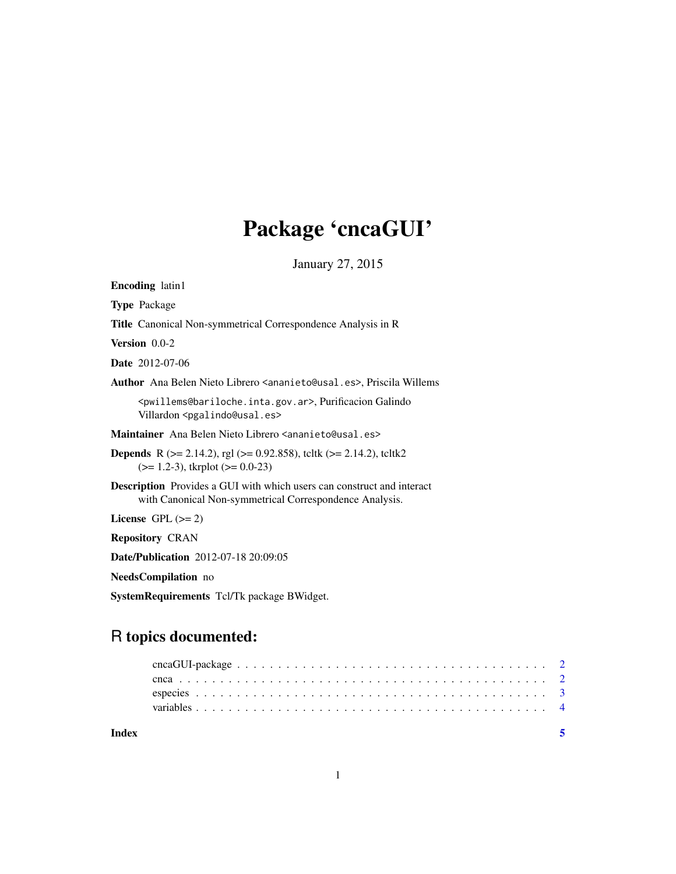# Package 'cncaGUI'

January 27, 2015

| <b>Encoding</b> latin1                                                                                                                      |  |  |  |  |  |  |  |
|---------------------------------------------------------------------------------------------------------------------------------------------|--|--|--|--|--|--|--|
| <b>Type Package</b>                                                                                                                         |  |  |  |  |  |  |  |
| <b>Title</b> Canonical Non-symmetrical Correspondence Analysis in R                                                                         |  |  |  |  |  |  |  |
| Version $0.0-2$                                                                                                                             |  |  |  |  |  |  |  |
| <b>Date</b> 2012-07-06                                                                                                                      |  |  |  |  |  |  |  |
| Author Ana Belen Nieto Librero <ananieto@usal.es>, Priscila Willems</ananieto@usal.es>                                                      |  |  |  |  |  |  |  |
| <pwillems@bariloche.inta.gov.ar>, Purificacion Galindo<br/>Villardon <pgalindo@usal.es></pgalindo@usal.es></pwillems@bariloche.inta.gov.ar> |  |  |  |  |  |  |  |
| Maintainer Ana Belen Nieto Librero <ananieto@usal.es></ananieto@usal.es>                                                                    |  |  |  |  |  |  |  |
| <b>Depends</b> R ( $>$ = 2.14.2), rgl ( $>$ = 0.92.858), teltk ( $>$ = 2.14.2), teltk2<br>$(>= 1.2-3)$ , tkrplot $(>= 0.0-23)$              |  |  |  |  |  |  |  |
| <b>Description</b> Provides a GUI with which users can construct and interact<br>with Canonical Non-symmetrical Correspondence Analysis.    |  |  |  |  |  |  |  |
| License GPL $(>= 2)$                                                                                                                        |  |  |  |  |  |  |  |
| <b>Repository CRAN</b>                                                                                                                      |  |  |  |  |  |  |  |
| <b>Date/Publication</b> 2012-07-18 20:09:05                                                                                                 |  |  |  |  |  |  |  |
| <b>NeedsCompilation</b> no                                                                                                                  |  |  |  |  |  |  |  |
| SystemRequirements Tcl/Tk package BWidget.                                                                                                  |  |  |  |  |  |  |  |
| R topics documented:                                                                                                                        |  |  |  |  |  |  |  |

| Index |  |  |  |  |  |  |  |  |  |  |  |  |  |  |  |  |  |  |  |  |  |
|-------|--|--|--|--|--|--|--|--|--|--|--|--|--|--|--|--|--|--|--|--|--|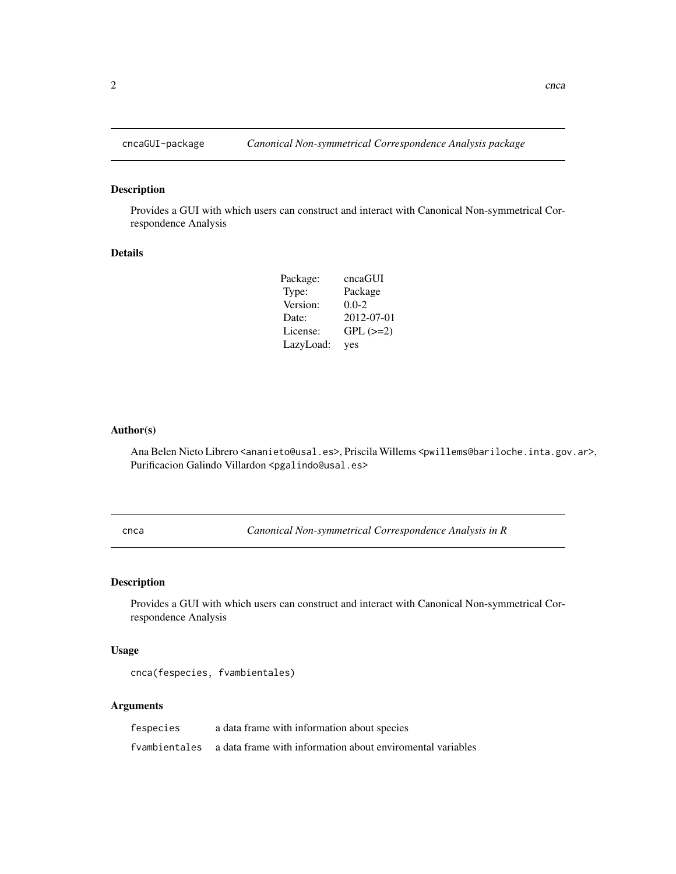## Description

Provides a GUI with which users can construct and interact with Canonical Non-symmetrical Correspondence Analysis

## Details

| Package:  | cncaGUI       |
|-----------|---------------|
| Type:     | Package       |
| Version:  | $0.0 - 2$     |
| Date:     | 2012-07-01    |
| License:  | $GPL$ $(>=2)$ |
| LazyLoad: | yes           |

## Author(s)

Ana Belen Nieto Librero <ananieto@usal.es>, Priscila Willems <pwillems@bariloche.inta.gov.ar>, Purificacion Galindo Villardon <pgalindo@usal.es>

cnca *Canonical Non-symmetrical Correspondence Analysis in R*

## Description

Provides a GUI with which users can construct and interact with Canonical Non-symmetrical Correspondence Analysis

## Usage

```
cnca(fespecies, fvambientales)
```
### Arguments

| fespecies | a data frame with information about species                               |
|-----------|---------------------------------------------------------------------------|
|           | f vambientales a data frame with information about enviromental variables |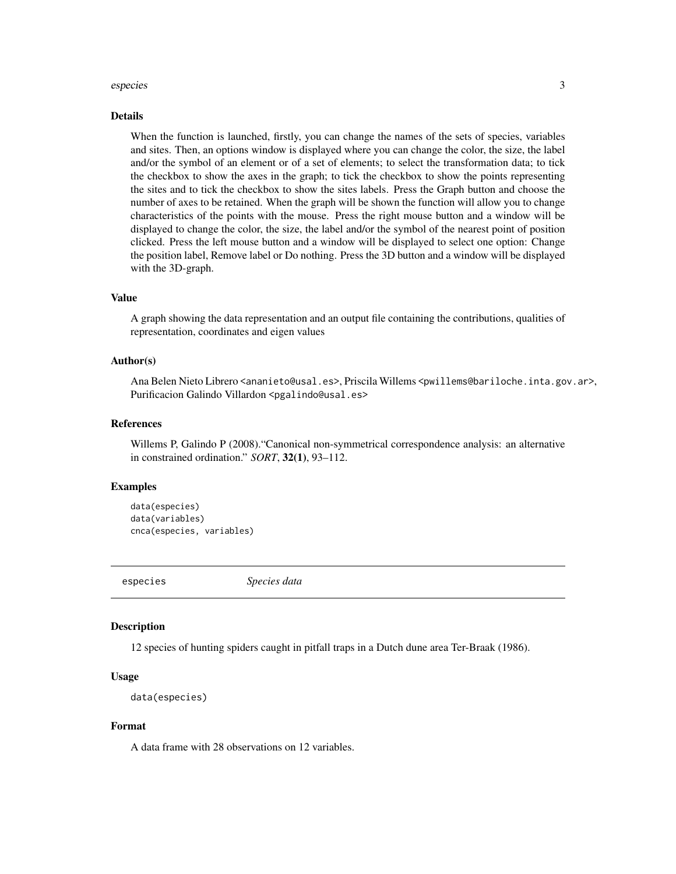#### <span id="page-2-0"></span>especies 3

#### Details

When the function is launched, firstly, you can change the names of the sets of species, variables and sites. Then, an options window is displayed where you can change the color, the size, the label and/or the symbol of an element or of a set of elements; to select the transformation data; to tick the checkbox to show the axes in the graph; to tick the checkbox to show the points representing the sites and to tick the checkbox to show the sites labels. Press the Graph button and choose the number of axes to be retained. When the graph will be shown the function will allow you to change characteristics of the points with the mouse. Press the right mouse button and a window will be displayed to change the color, the size, the label and/or the symbol of the nearest point of position clicked. Press the left mouse button and a window will be displayed to select one option: Change the position label, Remove label or Do nothing. Press the 3D button and a window will be displayed with the 3D-graph.

#### Value

A graph showing the data representation and an output file containing the contributions, qualities of representation, coordinates and eigen values

#### Author(s)

Ana Belen Nieto Librero <ananieto@usal.es>, Priscila Willems <pwillems@bariloche.inta.gov.ar>, Purificacion Galindo Villardon <pgalindo@usal.es>

## References

Willems P, Galindo P (2008)."Canonical non-symmetrical correspondence analysis: an alternative in constrained ordination." *SORT*, 32(1), 93–112.

### Examples

```
data(especies)
data(variables)
cnca(especies, variables)
```
especies *Species data*

#### Description

12 species of hunting spiders caught in pitfall traps in a Dutch dune area Ter-Braak (1986).

#### Usage

```
data(especies)
```
#### Format

A data frame with 28 observations on 12 variables.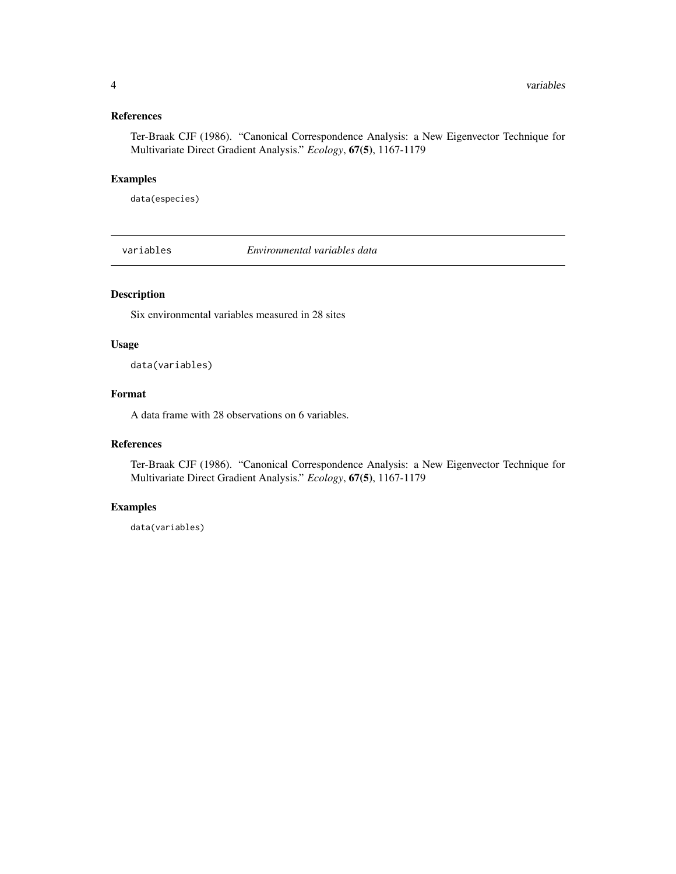## <span id="page-3-0"></span>References

Ter-Braak CJF (1986). "Canonical Correspondence Analysis: a New Eigenvector Technique for Multivariate Direct Gradient Analysis." *Ecology*, 67(5), 1167-1179

## Examples

data(especies)

variables *Environmental variables data*

## Description

Six environmental variables measured in 28 sites

#### Usage

data(variables)

## Format

A data frame with 28 observations on 6 variables.

## References

Ter-Braak CJF (1986). "Canonical Correspondence Analysis: a New Eigenvector Technique for Multivariate Direct Gradient Analysis." *Ecology*, 67(5), 1167-1179

## Examples

data(variables)